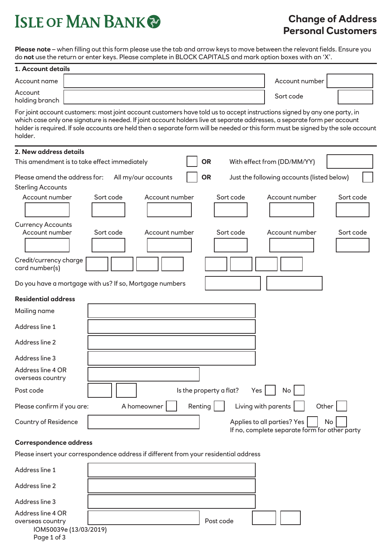## **ISLE OF MAN BANK®**

## **Change of Address Personal Customers**

**Please note** – when filling out this form please use the tab and arrow keys to move between the relevant fields. Ensure you do **not** use the return or enter keys. Please complete in BLOCK CAPITALS and mark option boxes with an 'X'.

| 1. Account details                                                                                                                                                                                                                                                                                                                                                                                     |                     |                |                                |                                                                              |           |
|--------------------------------------------------------------------------------------------------------------------------------------------------------------------------------------------------------------------------------------------------------------------------------------------------------------------------------------------------------------------------------------------------------|---------------------|----------------|--------------------------------|------------------------------------------------------------------------------|-----------|
| Account name                                                                                                                                                                                                                                                                                                                                                                                           |                     |                |                                | Account number                                                               |           |
| Account<br>holding branch                                                                                                                                                                                                                                                                                                                                                                              |                     |                |                                | Sort code                                                                    |           |
| For joint account customers: most joint account customers have told us to accept instructions signed by any one party, in<br>which case only one signature is needed. If joint account holders live at separate addresses, a separate form per account<br>holder is required. If sole accounts are held then a separate form will be needed or this form must be signed by the sole account<br>holder. |                     |                |                                |                                                                              |           |
| 2. New address details                                                                                                                                                                                                                                                                                                                                                                                 |                     |                |                                |                                                                              |           |
| This amendment is to take effect immediately                                                                                                                                                                                                                                                                                                                                                           |                     |                | <b>OR</b>                      | With effect from (DD/MM/YY)                                                  |           |
| Please amend the address for:<br><b>Sterling Accounts</b>                                                                                                                                                                                                                                                                                                                                              | All my/our accounts |                | <b>OR</b>                      | Just the following accounts (listed below)                                   |           |
| Account number                                                                                                                                                                                                                                                                                                                                                                                         | Sort code           | Account number | Sort code                      | Account number                                                               | Sort code |
| <b>Currency Accounts</b><br>Account number                                                                                                                                                                                                                                                                                                                                                             | Sort code           | Account number | Sort code                      | Account number                                                               | Sort code |
| Credit/currency charge<br>card number(s)                                                                                                                                                                                                                                                                                                                                                               |                     |                |                                |                                                                              |           |
| Do you have a mortgage with us? If so, Mortgage numbers                                                                                                                                                                                                                                                                                                                                                |                     |                |                                |                                                                              |           |
| <b>Residential address</b>                                                                                                                                                                                                                                                                                                                                                                             |                     |                |                                |                                                                              |           |
| Mailing name                                                                                                                                                                                                                                                                                                                                                                                           |                     |                |                                |                                                                              |           |
| Address line 1                                                                                                                                                                                                                                                                                                                                                                                         |                     |                |                                |                                                                              |           |
| Address line 2                                                                                                                                                                                                                                                                                                                                                                                         |                     |                |                                |                                                                              |           |
| Address line 3                                                                                                                                                                                                                                                                                                                                                                                         |                     |                |                                |                                                                              |           |
| Address line 4 OR<br>overseas country                                                                                                                                                                                                                                                                                                                                                                  |                     |                |                                |                                                                              |           |
| Post code                                                                                                                                                                                                                                                                                                                                                                                              |                     |                | Is the property a flat?<br>Yes | No                                                                           |           |
| Please confirm if you are:                                                                                                                                                                                                                                                                                                                                                                             | A homeowner         | Renting        |                                | Other<br>Living with parents                                                 |           |
| <b>Country of Residence</b>                                                                                                                                                                                                                                                                                                                                                                            |                     |                |                                | Applies to all parties? Yes<br>If no, complete separate form for other party | No        |
| Correspondence address                                                                                                                                                                                                                                                                                                                                                                                 |                     |                |                                |                                                                              |           |
| Please insert your correspondence address if different from your residential address                                                                                                                                                                                                                                                                                                                   |                     |                |                                |                                                                              |           |
| Address line 1                                                                                                                                                                                                                                                                                                                                                                                         |                     |                |                                |                                                                              |           |

| Address line 2         |           |  |
|------------------------|-----------|--|
| Address line 3         |           |  |
| Address line 4 OR      |           |  |
| overseas country       | Post code |  |
| IOM50039e (13/03/2019) |           |  |

Page 1 of 3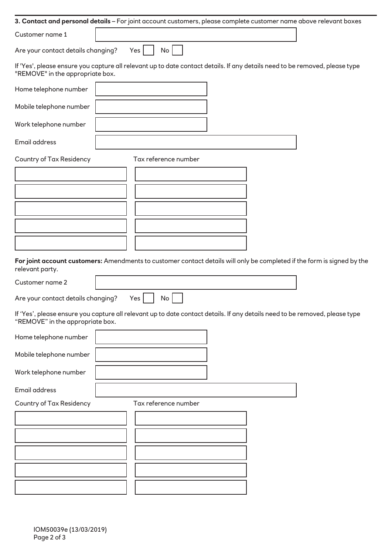|                                    | 3. Contact and personal details – For joint account customers, please complete customer name above relevant boxes           |  |
|------------------------------------|-----------------------------------------------------------------------------------------------------------------------------|--|
| Customer name 1                    |                                                                                                                             |  |
| Are your contact details changing? | No <sub>1</sub><br>Yes                                                                                                      |  |
| "REMOVE" in the appropriate box.   | If 'Yes', please ensure you capture all relevant up to date contact details. If any details need to be removed, please type |  |
| Home telephone number              |                                                                                                                             |  |
| Mobile telephone number            |                                                                                                                             |  |
| Work telephone number              |                                                                                                                             |  |
| Email address                      |                                                                                                                             |  |
| <b>Country of Tax Residency</b>    | Tax reference number                                                                                                        |  |
|                                    |                                                                                                                             |  |
|                                    |                                                                                                                             |  |
|                                    |                                                                                                                             |  |
|                                    |                                                                                                                             |  |
|                                    |                                                                                                                             |  |
|                                    |                                                                                                                             |  |
|                                    |                                                                                                                             |  |
|                                    |                                                                                                                             |  |
| relevant party.                    | For joint account customers: Amendments to customer contact details will only be completed if the form is signed by the     |  |
| Customer name 2                    |                                                                                                                             |  |
| Are your contact details changing? | Yes<br>No                                                                                                                   |  |
| "REMOVE" in the appropriate box.   | If 'Yes', please ensure you capture all relevant up to date contact details. If any details need to be removed, please type |  |
| Home telephone number              |                                                                                                                             |  |
| Mobile telephone number            |                                                                                                                             |  |
| Work telephone number              |                                                                                                                             |  |
| Email address                      |                                                                                                                             |  |
| <b>Country of Tax Residency</b>    | Tax reference number                                                                                                        |  |
|                                    |                                                                                                                             |  |
|                                    |                                                                                                                             |  |
|                                    |                                                                                                                             |  |
|                                    |                                                                                                                             |  |
|                                    |                                                                                                                             |  |
|                                    |                                                                                                                             |  |
|                                    |                                                                                                                             |  |
|                                    |                                                                                                                             |  |
|                                    |                                                                                                                             |  |